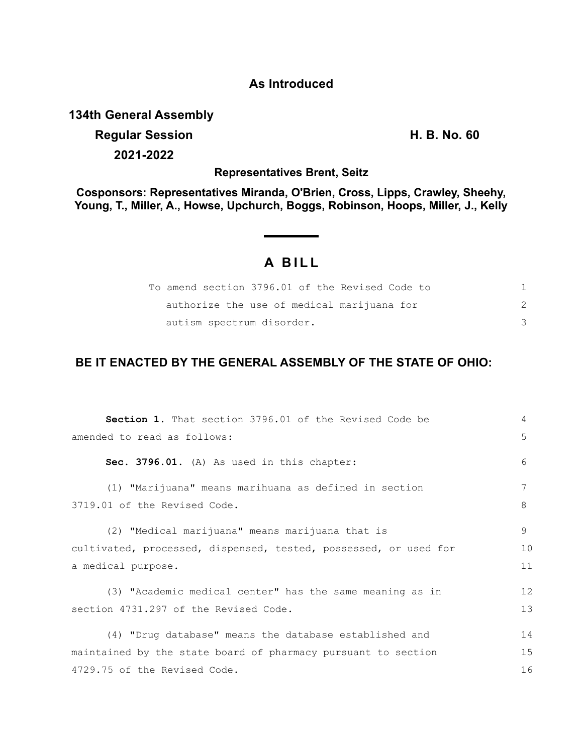### **As Introduced**

#### **134th General Assembly**

# **Regular Session H. B. No. 60 2021-2022**

**Representatives Brent, Seitz**

**Cosponsors: Representatives Miranda, O'Brien, Cross, Lipps, Crawley, Sheehy, Young, T., Miller, A., Howse, Upchurch, Boggs, Robinson, Hoops, Miller, J., Kelly**

## **A BILL**

|                           | To amend section 3796.01 of the Revised Code to |  |
|---------------------------|-------------------------------------------------|--|
|                           | authorize the use of medical marijuana for      |  |
| autism spectrum disorder. |                                                 |  |

### **BE IT ENACTED BY THE GENERAL ASSEMBLY OF THE STATE OF OHIO:**

| <b>Section 1.</b> That section 3796.01 of the Revised Code be    | 4  |  |
|------------------------------------------------------------------|----|--|
| amended to read as follows:                                      | 5  |  |
| Sec. 3796.01. (A) As used in this chapter:                       | 6  |  |
| (1) "Marijuana" means marihuana as defined in section            | 7  |  |
| 3719.01 of the Revised Code.                                     | 8  |  |
| (2) "Medical marijuana" means marijuana that is                  | 9  |  |
| cultivated, processed, dispensed, tested, possessed, or used for |    |  |
| a medical purpose.                                               | 11 |  |
| (3) "Academic medical center" has the same meaning as in         | 12 |  |
| section 4731.297 of the Revised Code.                            | 13 |  |
| (4) "Drug database" means the database established and           | 14 |  |
| maintained by the state board of pharmacy pursuant to section    |    |  |
| 4729.75 of the Revised Code.                                     | 16 |  |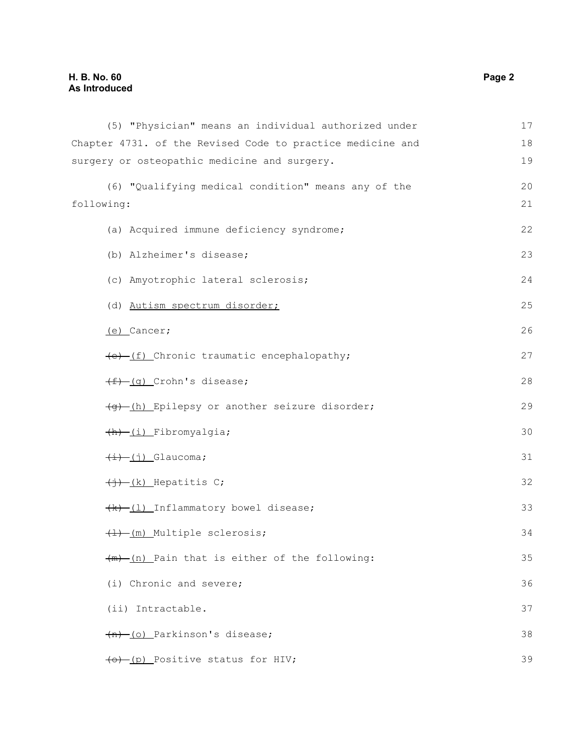| (5) "Physician" means an individual authorized under       | 17 |
|------------------------------------------------------------|----|
| Chapter 4731. of the Revised Code to practice medicine and | 18 |
| surgery or osteopathic medicine and surgery.               | 19 |
| (6) "Qualifying medical condition" means any of the        | 20 |
| following:                                                 | 21 |
| (a) Acquired immune deficiency syndrome;                   | 22 |
| (b) Alzheimer's disease;                                   | 23 |
| (c) Amyotrophic lateral sclerosis;                         | 24 |
| (d) Autism spectrum disorder;                              | 25 |
| $(e)$ Cancer;                                              | 26 |
| (e) (f) Chronic traumatic encephalopathy;                  | 27 |
| $(f)$ (q) Crohn's disease;                                 | 28 |
| (g) (h) Epilepsy or another seizure disorder;              | 29 |
| (h) (i) Fibromyalgia;                                      | 30 |
| $\overline{(+)}$ $\overline{(-)}$ Glaucoma;                | 31 |
| $\overline{(+)}$ (k) Hepatitis C;                          | 32 |
| (k)-(1) Inflammatory bowel disease;                        | 33 |
| $\frac{+1}{+1}$ (m) Multiple sclerosis;                    | 34 |
| $\frac{1}{m}$ (n) Pain that is either of the following:    | 35 |
| (i) Chronic and severe;                                    | 36 |
| (ii) Intractable.                                          | 37 |
| $(n)$ (o) Parkinson's disease;                             | 38 |
| (o) [p] Positive status for HIV;                           | 39 |